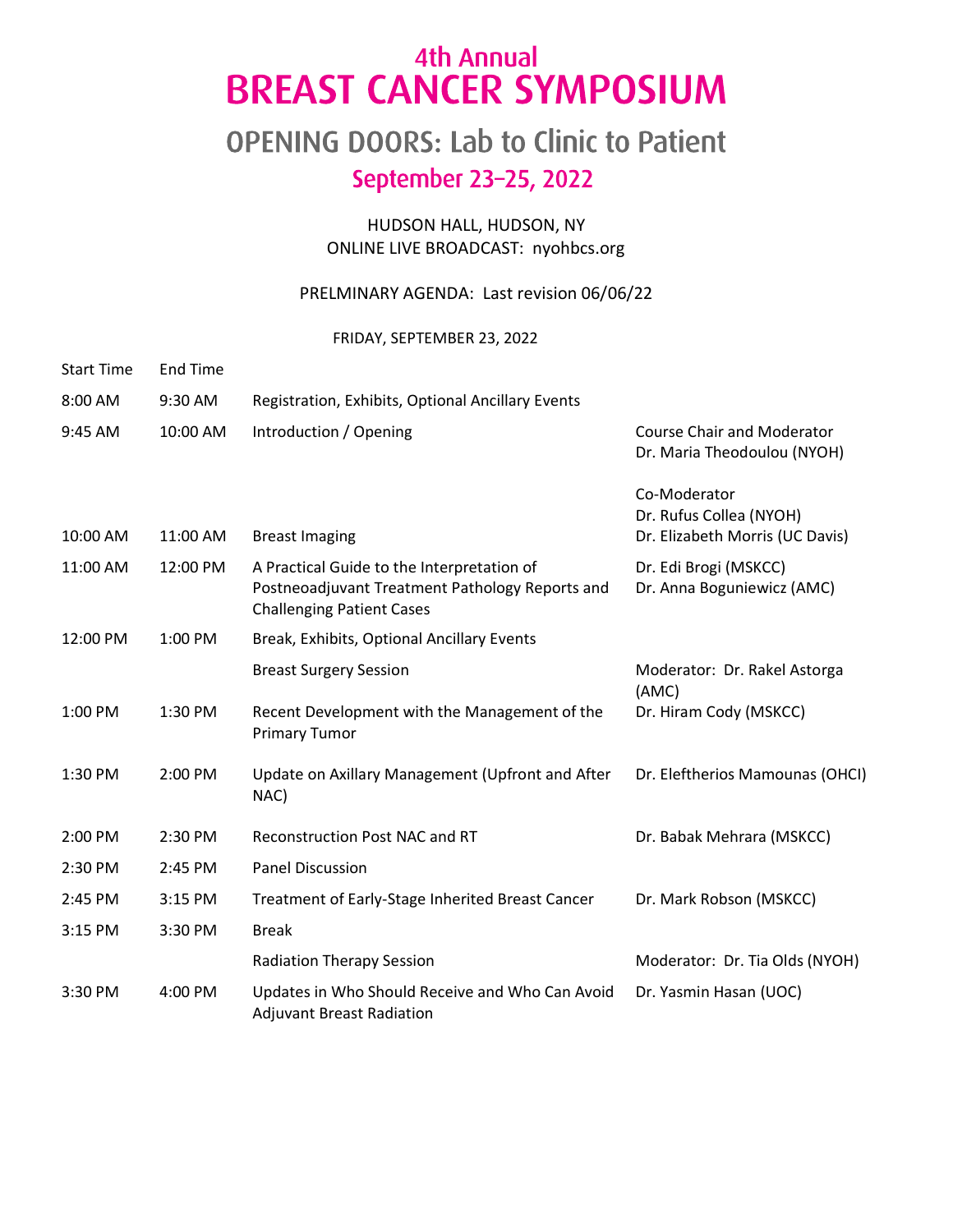## 4th Annual **BREAST CANCER SYMPOSIUM**

## OPENING DOORS: Lab to Clinic to Patient September 23-25, 2022

#### HUDSON HALL, HUDSON, NY ONLINE LIVE BROADCAST: nyohbcs.org

#### PRELMINARY AGENDA: Last revision 06/06/22

#### FRIDAY, SEPTEMBER 23, 2022

| <b>Start Time</b> | <b>End Time</b> |                                                                                                                                   |                                                                            |
|-------------------|-----------------|-----------------------------------------------------------------------------------------------------------------------------------|----------------------------------------------------------------------------|
| 8:00 AM           | 9:30 AM         | Registration, Exhibits, Optional Ancillary Events                                                                                 |                                                                            |
| 9:45 AM           | 10:00 AM        | Introduction / Opening                                                                                                            | <b>Course Chair and Moderator</b><br>Dr. Maria Theodoulou (NYOH)           |
| 10:00 AM          | 11:00 AM        | <b>Breast Imaging</b>                                                                                                             | Co-Moderator<br>Dr. Rufus Collea (NYOH)<br>Dr. Elizabeth Morris (UC Davis) |
| 11:00 AM          | 12:00 PM        | A Practical Guide to the Interpretation of<br>Postneoadjuvant Treatment Pathology Reports and<br><b>Challenging Patient Cases</b> | Dr. Edi Brogi (MSKCC)<br>Dr. Anna Boguniewicz (AMC)                        |
| 12:00 PM          | 1:00 PM         | Break, Exhibits, Optional Ancillary Events                                                                                        |                                                                            |
|                   |                 | <b>Breast Surgery Session</b>                                                                                                     | Moderator: Dr. Rakel Astorga<br>(AMC)                                      |
| 1:00 PM           | 1:30 PM         | Recent Development with the Management of the<br><b>Primary Tumor</b>                                                             | Dr. Hiram Cody (MSKCC)                                                     |
| 1:30 PM           | 2:00 PM         | Update on Axillary Management (Upfront and After<br>NAC)                                                                          | Dr. Eleftherios Mamounas (OHCI)                                            |
| 2:00 PM           | 2:30 PM         | <b>Reconstruction Post NAC and RT</b>                                                                                             | Dr. Babak Mehrara (MSKCC)                                                  |
| 2:30 PM           | 2:45 PM         | <b>Panel Discussion</b>                                                                                                           |                                                                            |
| 2:45 PM           | 3:15 PM         | Treatment of Early-Stage Inherited Breast Cancer                                                                                  | Dr. Mark Robson (MSKCC)                                                    |
| 3:15 PM           | 3:30 PM         | <b>Break</b>                                                                                                                      |                                                                            |
|                   |                 | <b>Radiation Therapy Session</b>                                                                                                  | Moderator: Dr. Tia Olds (NYOH)                                             |
| 3:30 PM           | 4:00 PM         | Updates in Who Should Receive and Who Can Avoid<br><b>Adjuvant Breast Radiation</b>                                               | Dr. Yasmin Hasan (UOC)                                                     |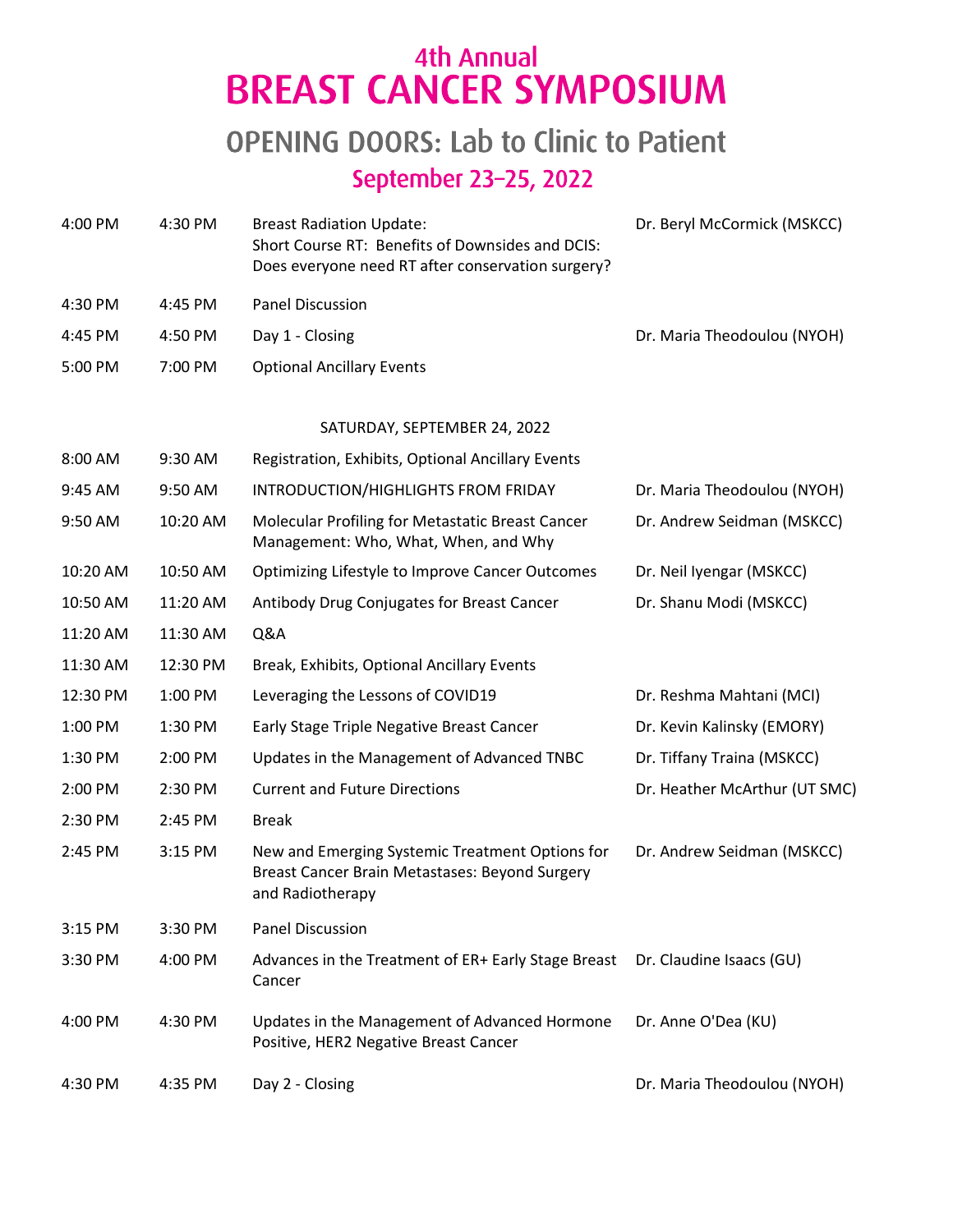# 4th Annual<br>BREAST CANCER SYMPOSIUM

## **OPENING DOORS: Lab to Clinic to Patient** September 23-25, 2022

| 4:00 PM  | 4:30 PM  | <b>Breast Radiation Update:</b><br>Short Course RT: Benefits of Downsides and DCIS:<br>Does everyone need RT after conservation surgery? | Dr. Beryl McCormick (MSKCC)   |
|----------|----------|------------------------------------------------------------------------------------------------------------------------------------------|-------------------------------|
| 4:30 PM  | 4:45 PM  | <b>Panel Discussion</b>                                                                                                                  |                               |
| 4:45 PM  | 4:50 PM  | Day 1 - Closing                                                                                                                          | Dr. Maria Theodoulou (NYOH)   |
| 5:00 PM  | 7:00 PM  | <b>Optional Ancillary Events</b>                                                                                                         |                               |
|          |          | SATURDAY, SEPTEMBER 24, 2022                                                                                                             |                               |
| 8:00 AM  | 9:30 AM  | Registration, Exhibits, Optional Ancillary Events                                                                                        |                               |
| 9:45 AM  | 9:50 AM  | INTRODUCTION/HIGHLIGHTS FROM FRIDAY                                                                                                      | Dr. Maria Theodoulou (NYOH)   |
| 9:50 AM  | 10:20 AM | Molecular Profiling for Metastatic Breast Cancer<br>Management: Who, What, When, and Why                                                 | Dr. Andrew Seidman (MSKCC)    |
| 10:20 AM | 10:50 AM | Optimizing Lifestyle to Improve Cancer Outcomes                                                                                          | Dr. Neil Iyengar (MSKCC)      |
| 10:50 AM | 11:20 AM | Antibody Drug Conjugates for Breast Cancer                                                                                               | Dr. Shanu Modi (MSKCC)        |
| 11:20 AM | 11:30 AM | Q&A                                                                                                                                      |                               |
| 11:30 AM | 12:30 PM | Break, Exhibits, Optional Ancillary Events                                                                                               |                               |
| 12:30 PM | 1:00 PM  | Leveraging the Lessons of COVID19                                                                                                        | Dr. Reshma Mahtani (MCI)      |
| 1:00 PM  | 1:30 PM  | Early Stage Triple Negative Breast Cancer                                                                                                | Dr. Kevin Kalinsky (EMORY)    |
| 1:30 PM  | 2:00 PM  | Updates in the Management of Advanced TNBC                                                                                               | Dr. Tiffany Traina (MSKCC)    |
| 2:00 PM  | 2:30 PM  | <b>Current and Future Directions</b>                                                                                                     | Dr. Heather McArthur (UT SMC) |
| 2:30 PM  | 2:45 PM  | <b>Break</b>                                                                                                                             |                               |
| 2:45 PM  | 3:15 PM  | New and Emerging Systemic Treatment Options for<br>Breast Cancer Brain Metastases: Beyond Surgery<br>and Radiotherapy                    | Dr. Andrew Seidman (MSKCC)    |
| 3:15 PM  | 3:30 PM  | Panel Discussion                                                                                                                         |                               |
| 3:30 PM  | 4:00 PM  | Advances in the Treatment of ER+ Early Stage Breast<br>Cancer                                                                            | Dr. Claudine Isaacs (GU)      |
| 4:00 PM  | 4:30 PM  | Updates in the Management of Advanced Hormone<br>Positive, HER2 Negative Breast Cancer                                                   | Dr. Anne O'Dea (KU)           |
| 4:30 PM  | 4:35 PM  | Day 2 - Closing                                                                                                                          | Dr. Maria Theodoulou (NYOH)   |